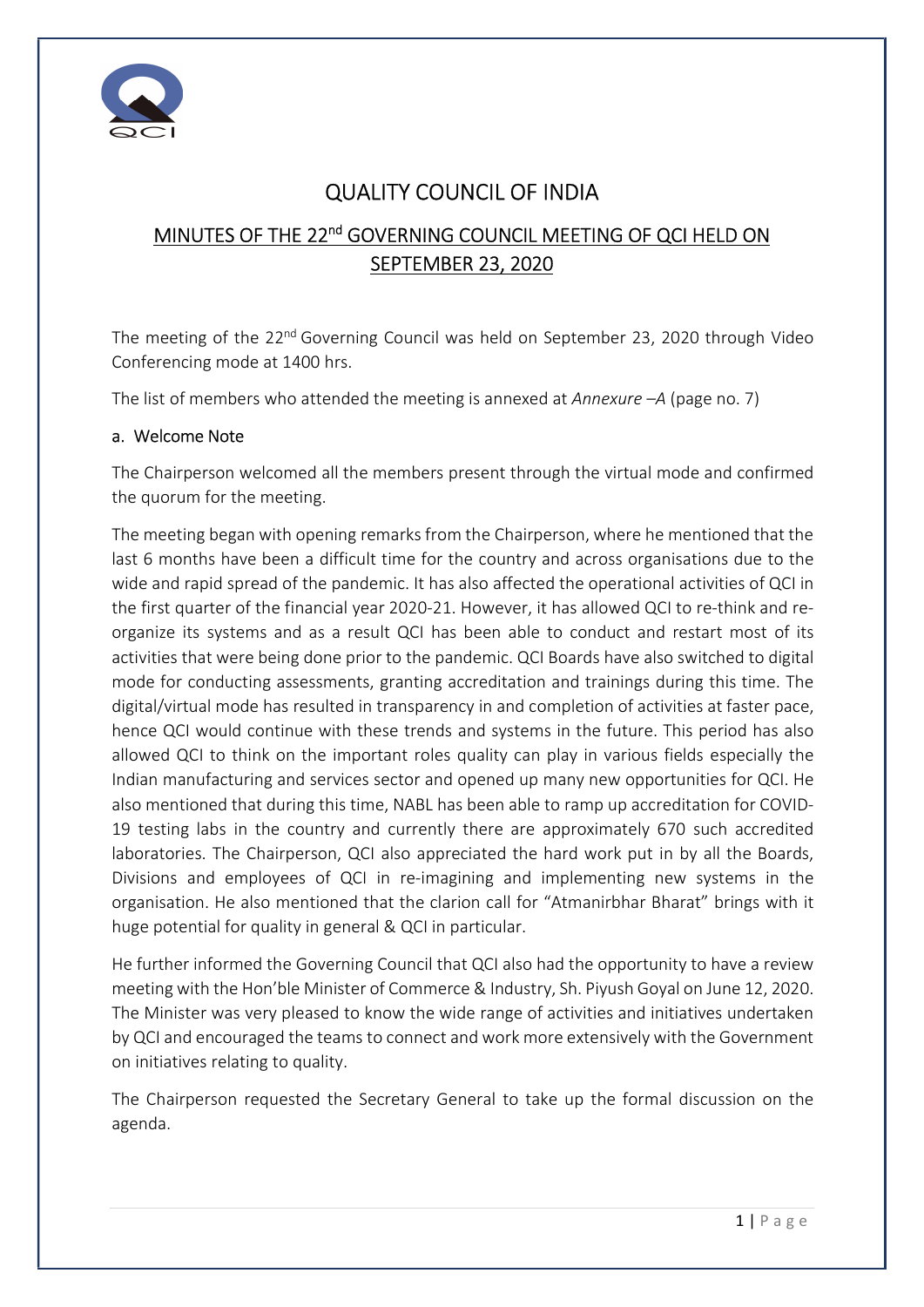

# QUALITY COUNCIL OF INDIA

# MINUTES OF THE 22<sup>nd</sup> GOVERNING COUNCIL MEETING OF QCI HELD ON SEPTEMBER 23, 2020

The meeting of the 22<sup>nd</sup> Governing Council was held on September 23, 2020 through Video Conferencing mode at 1400 hrs.

The list of members who attended the meeting is annexed at Annexure  $-A$  (page no. 7)

### a. Welcome Note

The Chairperson welcomed all the members present through the virtual mode and confirmed the quorum for the meeting.

The meeting began with opening remarks from the Chairperson, where he mentioned that the last 6 months have been a difficult time for the country and across organisations due to the wide and rapid spread of the pandemic. It has also affected the operational activities of QCI in the first quarter of the financial year 2020-21. However, it has allowed QCI to re-think and reorganize its systems and as a result QCI has been able to conduct and restart most of its activities that were being done prior to the pandemic. QCI Boards have also switched to digital mode for conducting assessments, granting accreditation and trainings during this time. The digital/virtual mode has resulted in transparency in and completion of activities at faster pace, hence QCI would continue with these trends and systems in the future. This period has also allowed QCI to think on the important roles quality can play in various fields especially the Indian manufacturing and services sector and opened up many new opportunities for QCI. He also mentioned that during this time, NABL has been able to ramp up accreditation for COVID-19 testing labs in the country and currently there are approximately 670 such accredited laboratories. The Chairperson, QCI also appreciated the hard work put in by all the Boards, Divisions and employees of QCI in re-imagining and implementing new systems in the organisation. He also mentioned that the clarion call for "Atmanirbhar Bharat" brings with it huge potential for quality in general & QCI in particular.

He further informed the Governing Council that QCI also had the opportunity to have a review meeting with the Hon'ble Minister of Commerce & Industry, Sh. Piyush Goyal on June 12, 2020. The Minister was very pleased to know the wide range of activities and initiatives undertaken by QCI and encouraged the teams to connect and work more extensively with the Government on initiatives relating to quality.

The Chairperson requested the Secretary General to take up the formal discussion on the agenda.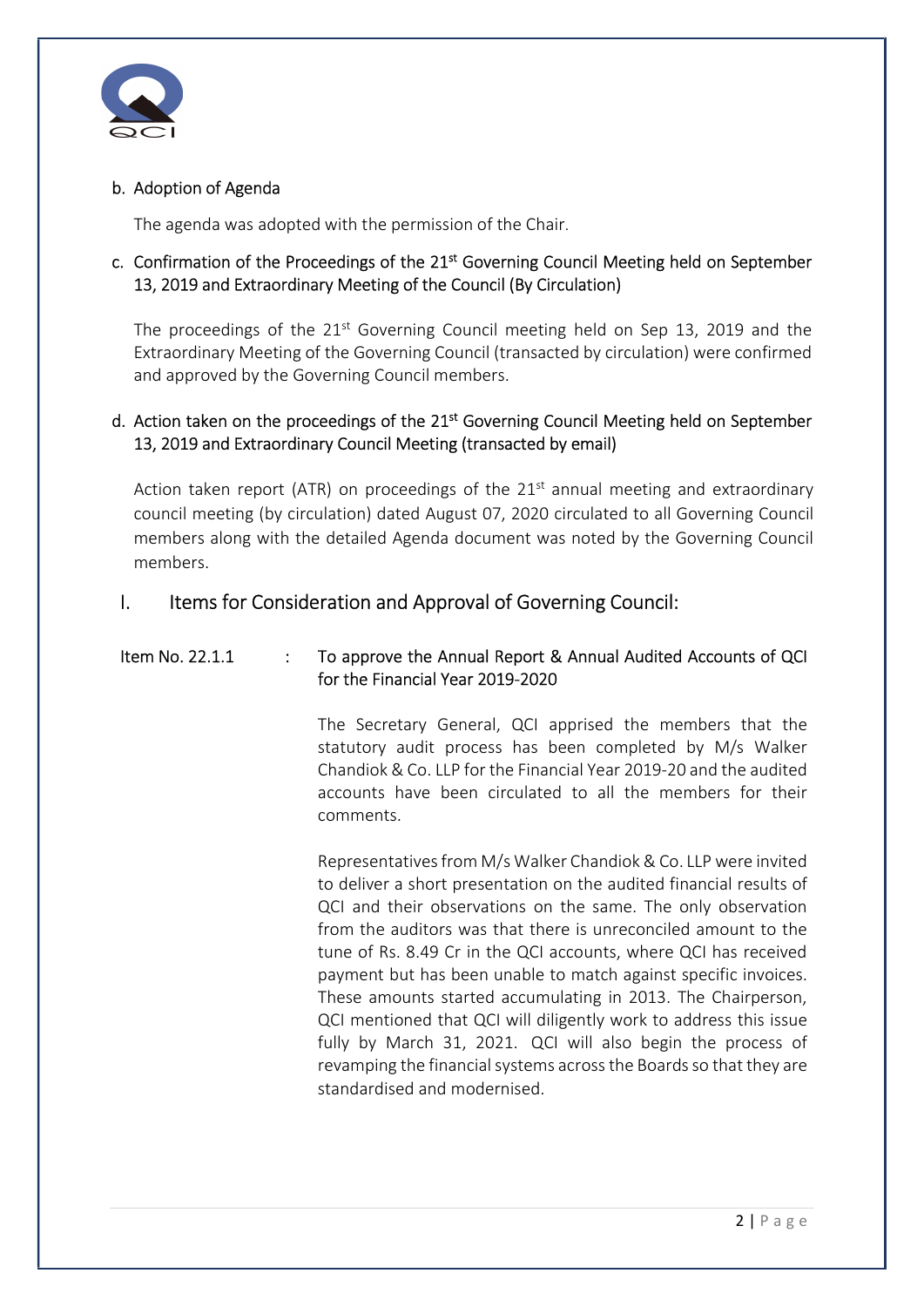

### b. Adoption of Agenda

The agenda was adopted with the permission of the Chair.

### c. Confirmation of the Proceedings of the 21<sup>st</sup> Governing Council Meeting held on September 13, 2019 and Extraordinary Meeting of the Council (By Circulation)

The proceedings of the 21<sup>st</sup> Governing Council meeting held on Sep 13, 2019 and the Extraordinary Meeting of the Governing Council (transacted by circulation) were confirmed and approved by the Governing Council members.

### d. Action taken on the proceedings of the 21<sup>st</sup> Governing Council Meeting held on September 13, 2019 and Extraordinary Council Meeting (transacted by email)

Action taken report (ATR) on proceedings of the  $21<sup>st</sup>$  annual meeting and extraordinary council meeting (by circulation) dated August 07, 2020 circulated to all Governing Council members along with the detailed Agenda document was noted by the Governing Council members.

### I. Items for Consideration and Approval of Governing Council:

### Item No. 22.1.1 : To approve the Annual Report & Annual Audited Accounts of QCI for the Financial Year 2019-2020

The Secretary General, QCI apprised the members that the statutory audit process has been completed by M/s Walker Chandiok & Co. LLP for the Financial Year 2019-20 and the audited accounts have been circulated to all the members for their comments.

Representatives from M/s Walker Chandiok & Co. LLP were invited to deliver a short presentation on the audited financial results of QCI and their observations on the same. The only observation from the auditors was that there is unreconciled amount to the tune of Rs. 8.49 Cr in the QCI accounts, where QCI has received payment but has been unable to match against specific invoices. These amounts started accumulating in 2013. The Chairperson, QCI mentioned that QCI will diligently work to address this issue fully by March 31, 2021. QCI will also begin the process of revamping the financial systems across the Boards so that they are standardised and modernised.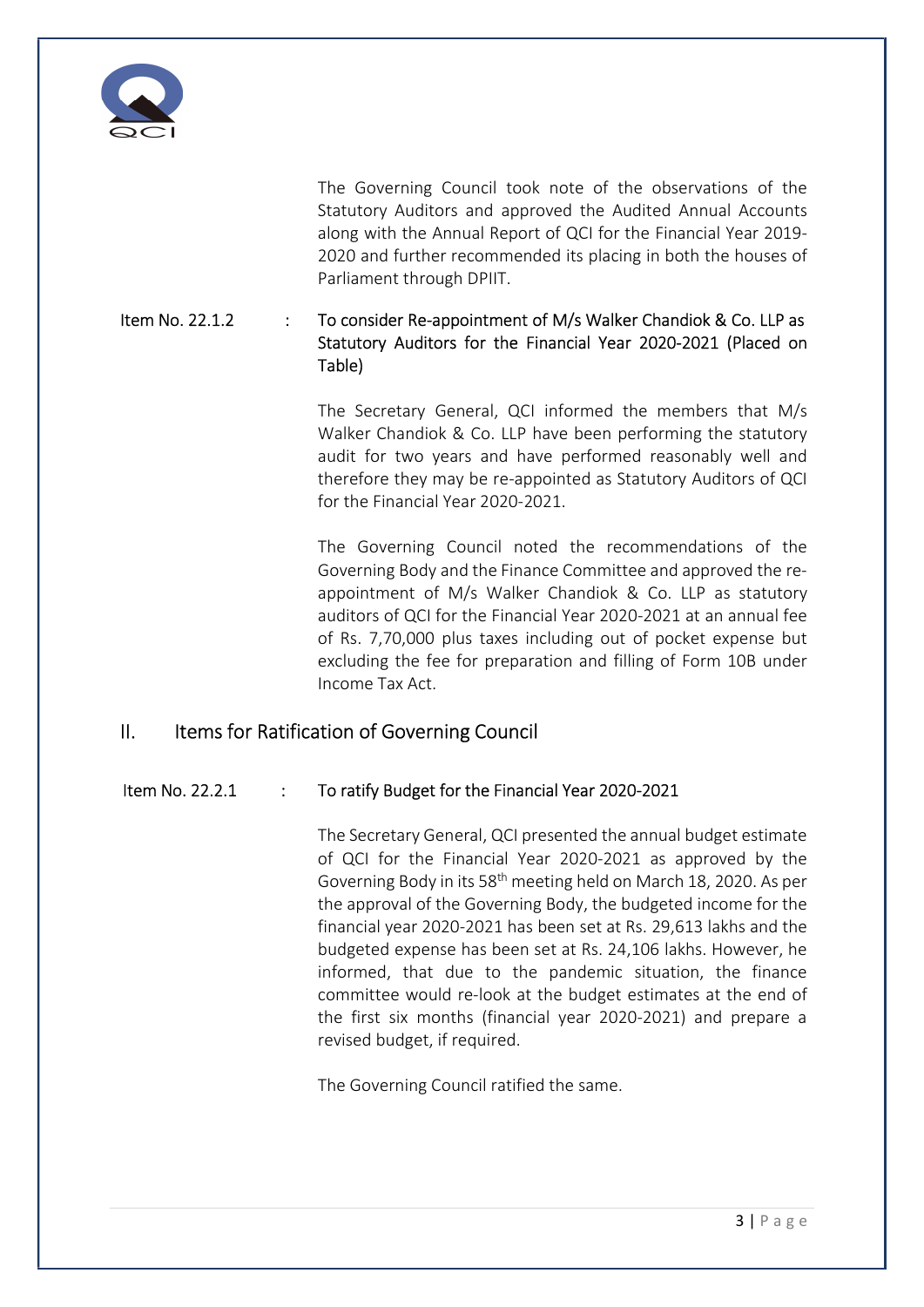

The Governing Council took note of the observations of the Statutory Auditors and approved the Audited Annual Accounts along with the Annual Report of QCI for the Financial Year 2019- 2020 and further recommended its placing in both the houses of Parliament through DPIIT.

### Item No. 22.1.2 : To consider Re-appointment of M/s Walker Chandiok & Co. LLP as Statutory Auditors for the Financial Year 2020-2021 (Placed on Table)

The Secretary General, QCI informed the members that M/s Walker Chandiok & Co. LLP have been performing the statutory audit for two years and have performed reasonably well and therefore they may be re-appointed as Statutory Auditors of QCI for the Financial Year 2020-2021.

The Governing Council noted the recommendations of the Governing Body and the Finance Committee and approved the reappointment of M/s Walker Chandiok & Co. LLP as statutory auditors of QCI for the Financial Year 2020-2021 at an annual fee of Rs. 7,70,000 plus taxes including out of pocket expense but excluding the fee for preparation and filling of Form 10B under Income Tax Act.

## II. Items for Ratification of Governing Council

#### Item No. 22.2.1 : To ratify Budget for the Financial Year 2020-2021

The Secretary General, QCI presented the annual budget estimate of QCI for the Financial Year 2020-2021 as approved by the Governing Body in its 58th meeting held on March 18, 2020. As per the approval of the Governing Body, the budgeted income for the financial year 2020-2021 has been set at Rs. 29,613 lakhs and the budgeted expense has been set at Rs. 24,106 lakhs. However, he informed, that due to the pandemic situation, the finance committee would re-look at the budget estimates at the end of the first six months (financial year 2020-2021) and prepare a revised budget, if required.

The Governing Council ratified the same.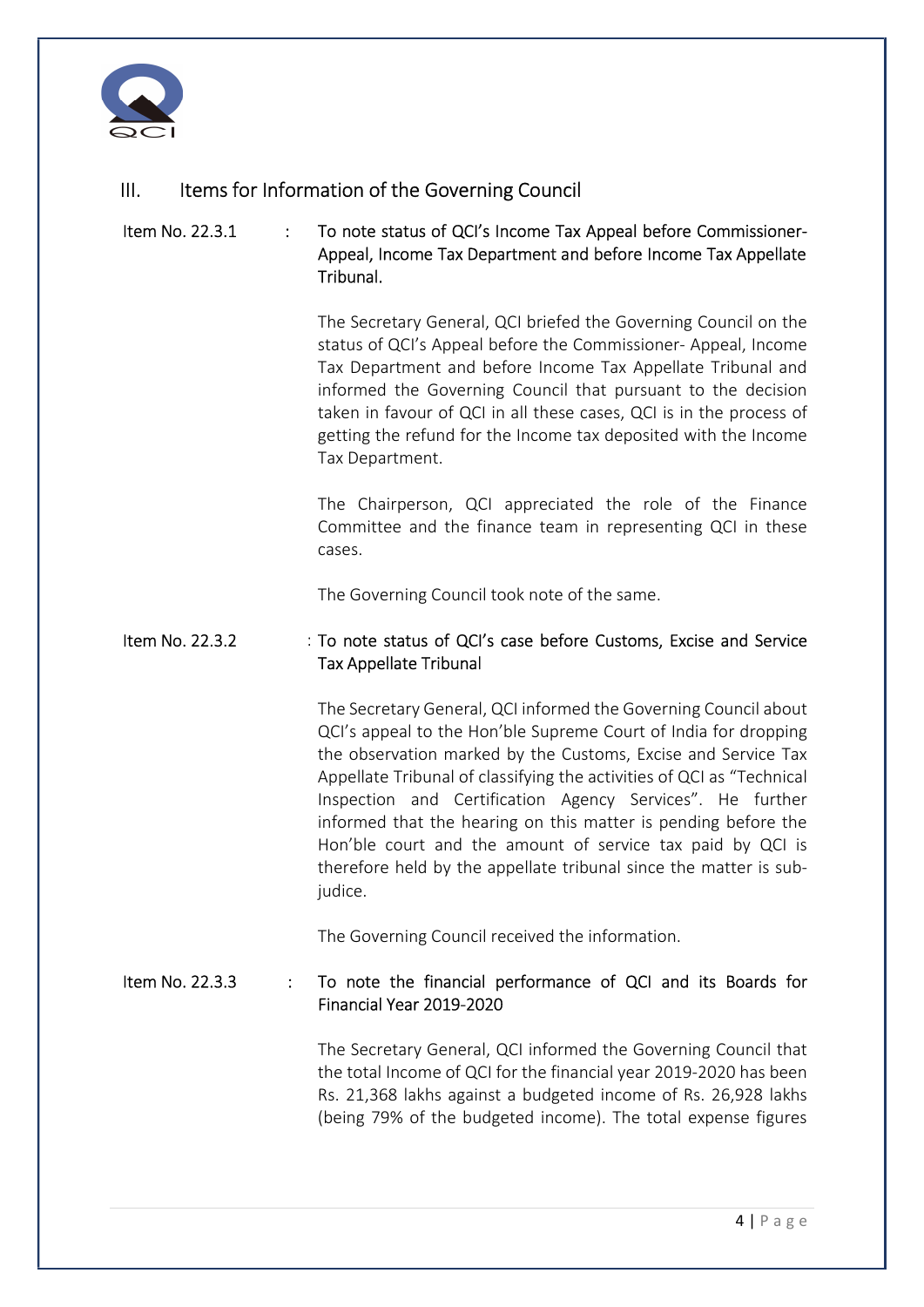

# III. Items for Information of the Governing Council

### Item No. 22.3.1 : To note status of QCI's Income Tax Appeal before Commissioner-Appeal, Income Tax Department and before Income Tax Appellate Tribunal.

The Secretary General, QCI briefed the Governing Council on the status of QCI's Appeal before the Commissioner- Appeal, Income Tax Department and before Income Tax Appellate Tribunal and informed the Governing Council that pursuant to the decision taken in favour of QCI in all these cases, QCI is in the process of getting the refund for the Income tax deposited with the Income Tax Department.

The Chairperson, QCI appreciated the role of the Finance Committee and the finance team in representing QCI in these cases.

The Governing Council took note of the same.

#### Item No. 22.3.2 : To note status of QCI's case before Customs, Excise and Service Tax Appellate Tribunal

The Secretary General, QCI informed the Governing Council about QCI's appeal to the Hon'ble Supreme Court of India for dropping the observation marked by the Customs, Excise and Service Tax Appellate Tribunal of classifying the activities of QCI as "Technical Inspection and Certification Agency Services". He further informed that the hearing on this matter is pending before the Hon'ble court and the amount of service tax paid by QCI is therefore held by the appellate tribunal since the matter is subjudice.

The Governing Council received the information.

### Item No. 22.3.3 : To note the financial performance of QCI and its Boards for Financial Year 2019-2020

The Secretary General, QCI informed the Governing Council that the total Income of QCI for the financial year 2019-2020 has been Rs. 21,368 lakhs against a budgeted income of Rs. 26,928 lakhs (being 79% of the budgeted income). The total expense figures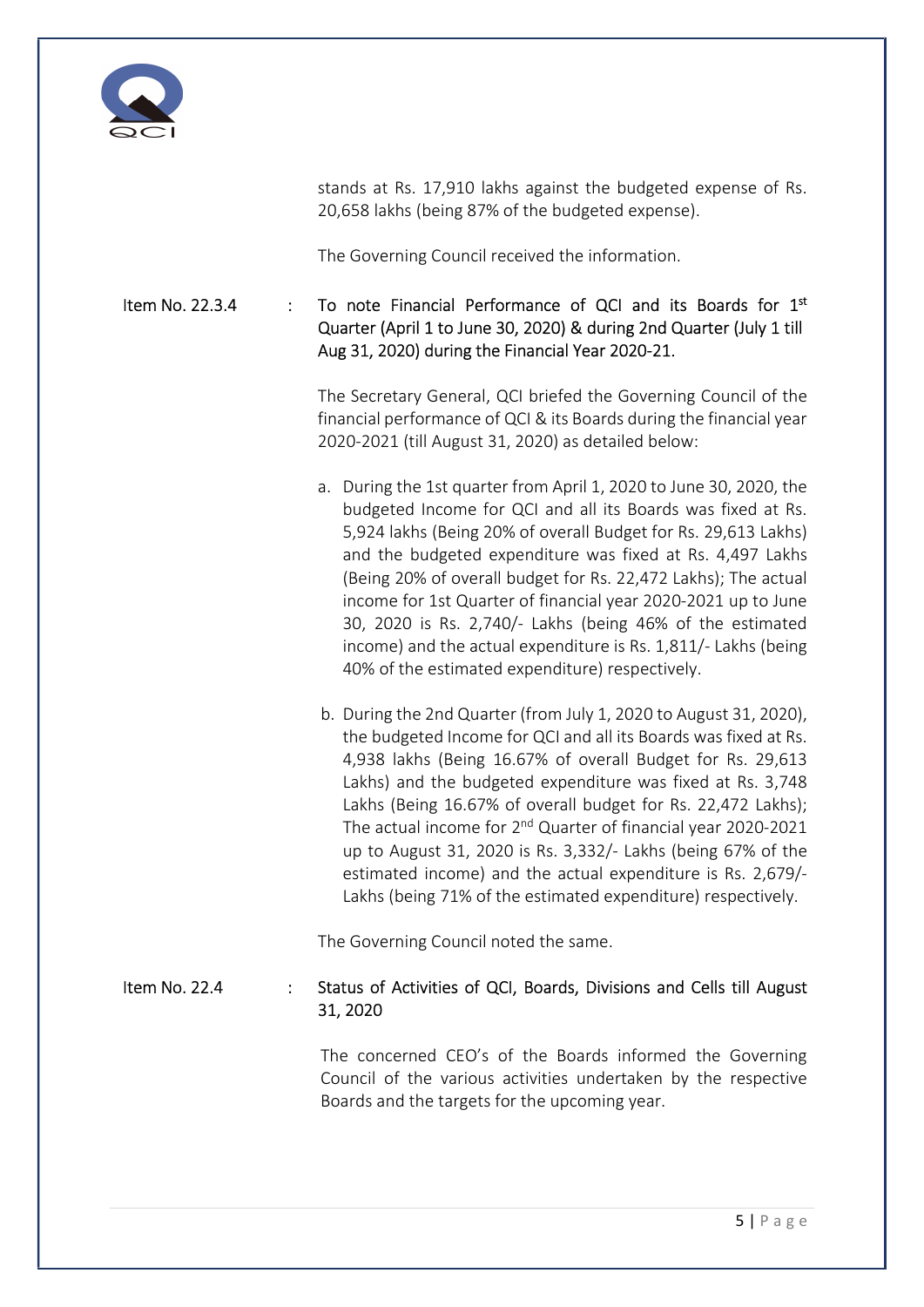

stands at Rs. 17,910 lakhs against the budgeted expense of Rs. 20,658 lakhs (being 87% of the budgeted expense).

The Governing Council received the information.

### Item No. 22.3.4 : To note Financial Performance of QCI and its Boards for  $1<sup>st</sup>$ Quarter (April 1 to June 30, 2020) & during 2nd Quarter (July 1 till Aug 31, 2020) during the Financial Year 2020-21.

The Secretary General, QCI briefed the Governing Council of the financial performance of QCI & its Boards during the financial year 2020-2021 (till August 31, 2020) as detailed below:

- a. During the 1st quarter from April 1, 2020 to June 30, 2020, the budgeted Income for QCI and all its Boards was fixed at Rs. 5,924 lakhs (Being 20% of overall Budget for Rs. 29,613 Lakhs) and the budgeted expenditure was fixed at Rs. 4,497 Lakhs (Being 20% of overall budget for Rs. 22,472 Lakhs); The actual income for 1st Quarter of financial year 2020-2021 up to June 30, 2020 is Rs. 2,740/- Lakhs (being 46% of the estimated income) and the actual expenditure is Rs. 1,811/- Lakhs (being 40% of the estimated expenditure) respectively.
- b. During the 2nd Quarter (from July 1, 2020 to August 31, 2020), the budgeted Income for QCI and all its Boards was fixed at Rs. 4,938 lakhs (Being 16.67% of overall Budget for Rs. 29,613 Lakhs) and the budgeted expenditure was fixed at Rs. 3,748 Lakhs (Being 16.67% of overall budget for Rs. 22,472 Lakhs); The actual income for  $2^{nd}$  Quarter of financial year 2020-2021 up to August 31, 2020 is Rs. 3,332/- Lakhs (being 67% of the estimated income) and the actual expenditure is Rs. 2,679/- Lakhs (being 71% of the estimated expenditure) respectively.

The Governing Council noted the same.

### Item No. 22.4 : Status of Activities of QCI, Boards, Divisions and Cells till August 31, 2020

The concerned CEO's of the Boards informed the Governing Council of the various activities undertaken by the respective Boards and the targets for the upcoming year.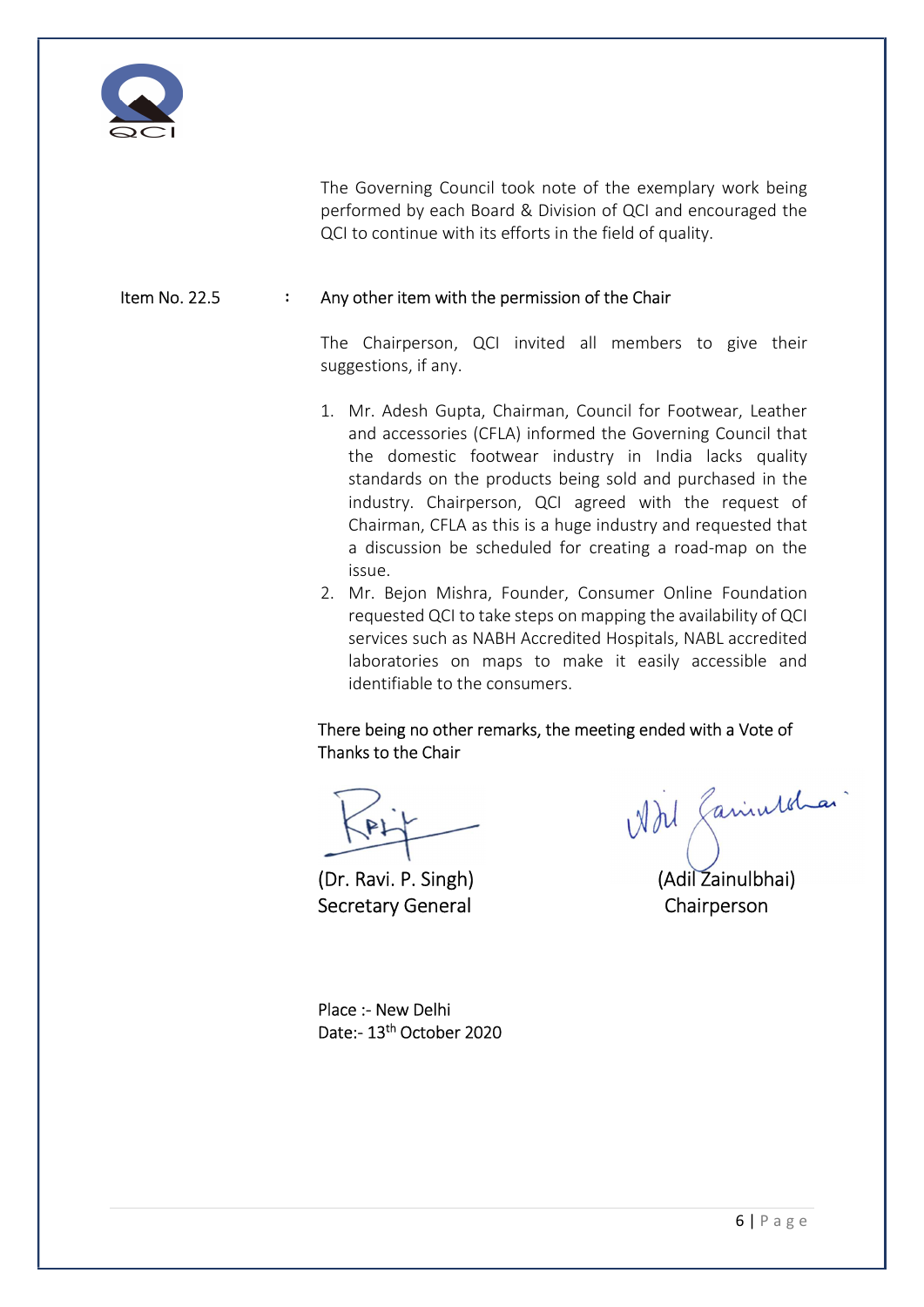

The Governing Council took note of the exemplary work being performed by each Board & Division of QCI and encouraged the QCI to continue with its efforts in the field of quality.

### Item No. 22.5 : Any other item with the permission of the Chair

The Chairperson, QCI invited all members to give their suggestions, if any.

- 1. Mr. Adesh Gupta, Chairman, Council for Footwear, Leather and accessories (CFLA) informed the Governing Council that the domestic footwear industry in India lacks quality standards on the products being sold and purchased in the industry. Chairperson, QCI agreed with the request of Chairman, CFLA as this is a huge industry and requested that a discussion be scheduled for creating a road-map on the issue.
- 2. Mr. Bejon Mishra, Founder, Consumer Online Foundation requested QCI to take steps on mapping the availability of QCI services such as NABH Accredited Hospitals, NABL accredited laboratories on maps to make it easily accessible and identifiable to the consumers.

There being no other remarks, the meeting ended with a Vote of Thanks to the Chair

Secretary General Chairperson

KALL While Caniulbhai)

Place :- New Delhi Date:- 13th October 2020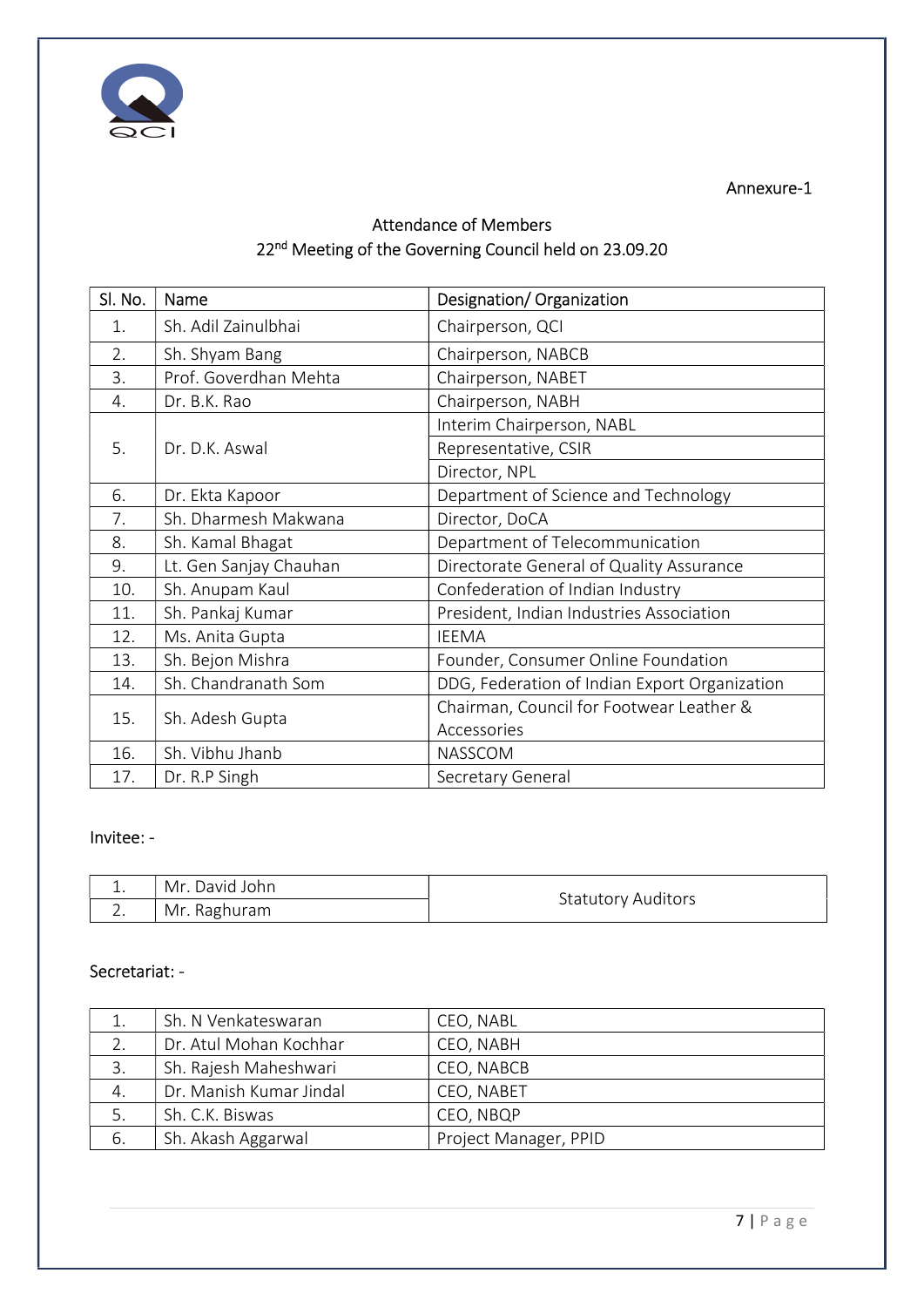

Annexure-1

# Attendance of Members 22<sup>nd</sup> Meeting of the Governing Council held on 23.09.20

| Sl. No. | Name                   | Designation/Organization                      |
|---------|------------------------|-----------------------------------------------|
| 1.      | Sh. Adil Zainulbhai    | Chairperson, QCI                              |
| 2.      | Sh. Shyam Bang         | Chairperson, NABCB                            |
| 3.      | Prof. Goverdhan Mehta  | Chairperson, NABET                            |
| 4.      | Dr. B.K. Rao           | Chairperson, NABH                             |
|         | Dr. D.K. Aswal         | Interim Chairperson, NABL                     |
| 5.      |                        | Representative, CSIR                          |
|         |                        | Director, NPL                                 |
| 6.      | Dr. Ekta Kapoor        | Department of Science and Technology          |
| 7.      | Sh. Dharmesh Makwana   | Director, DoCA                                |
| 8.      | Sh. Kamal Bhagat       | Department of Telecommunication               |
| 9.      | Lt. Gen Sanjay Chauhan | Directorate General of Quality Assurance      |
| 10.     | Sh. Anupam Kaul        | Confederation of Indian Industry              |
| 11.     | Sh. Pankaj Kumar       | President, Indian Industries Association      |
| 12.     | Ms. Anita Gupta        | <b>IEEMA</b>                                  |
| 13.     | Sh. Bejon Mishra       | Founder, Consumer Online Foundation           |
| 14.     | Sh. Chandranath Som    | DDG, Federation of Indian Export Organization |
| 15.     | Sh. Adesh Gupta        | Chairman, Council for Footwear Leather &      |
|         |                        | Accessories                                   |
| 16.     | Sh. Vibhu Jhanb        | NASSCOM                                       |
| 17.     | Dr. R.P Singh          | Secretary General                             |

## Invitee: -

| ÷,                       | Mr. David John | <b>Statutory Auditors</b> |
|--------------------------|----------------|---------------------------|
| $\overline{\phantom{0}}$ | Mr. Raghuram   |                           |

### Secretariat: -

|    | Sh. N Venkateswaran     | CEO, NABL             |
|----|-------------------------|-----------------------|
| 2. | Dr. Atul Mohan Kochhar  | CEO, NABH             |
| 3. | Sh. Rajesh Maheshwari   | CEO, NABCB            |
| 4. | Dr. Manish Kumar Jindal | CEO, NABET            |
| 5. | Sh. C.K. Biswas         | CEO, NBQP             |
| 6. | Sh. Akash Aggarwal      | Project Manager, PPID |